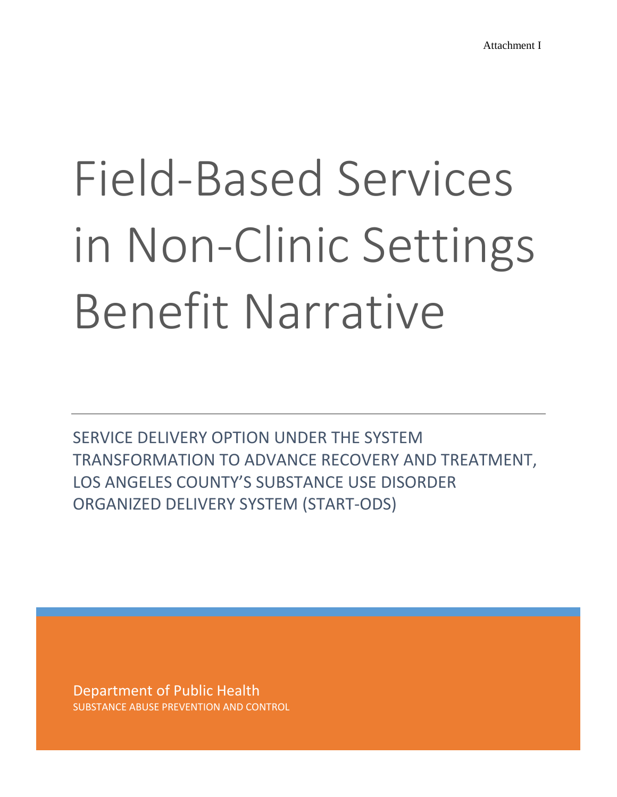# Field-Based Services in Non-Clinic Settings Benefit Narrative

SERVICE DELIVERY OPTION UNDER THE SYSTEM TRANSFORMATION TO ADVANCE RECOVERY AND TREATMENT, LOS ANGELES COUNTY'S SUBSTANCE USE DISORDER ORGANIZED DELIVERY SYSTEM (START-ODS)

Department of Public Health SUBSTANCE ABUSE PREVENTION AND CONTROL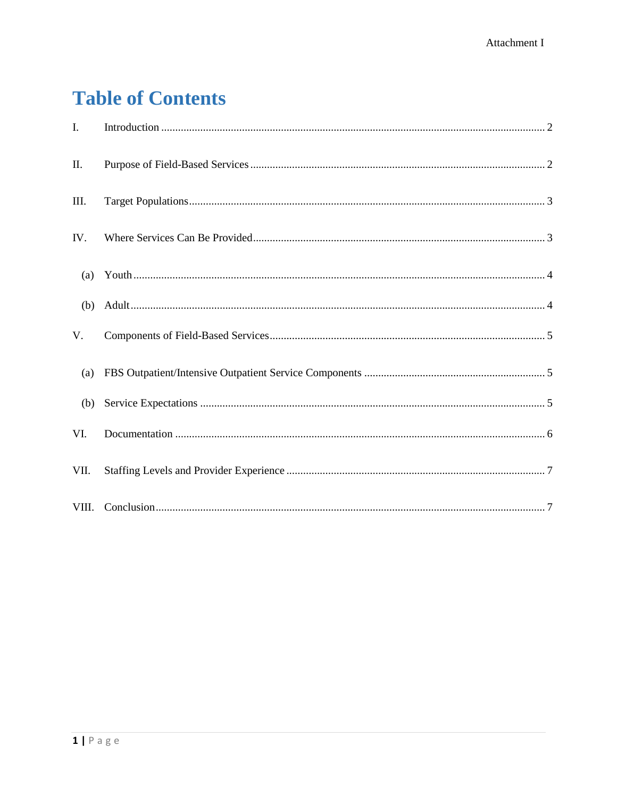# **Table of Contents**

| $\mathbf{I}$ . |  |
|----------------|--|
| II.            |  |
| III.           |  |
| IV.            |  |
|                |  |
|                |  |
| V.             |  |
| (a)            |  |
| (b)            |  |
| VI.            |  |
| VII.           |  |
|                |  |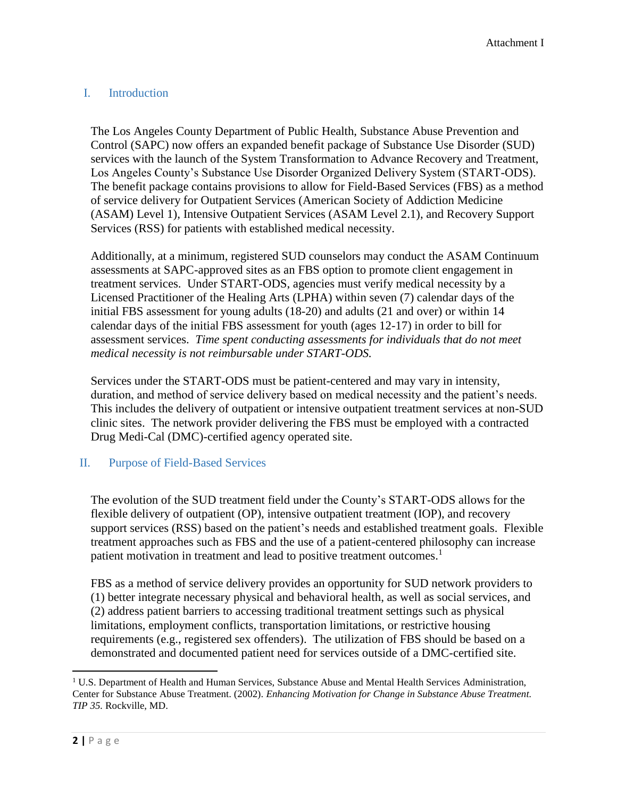# <span id="page-2-2"></span><span id="page-2-0"></span>I. Introduction

The Los Angeles County Department of Public Health, Substance Abuse Prevention and Control (SAPC) now offers an expanded benefit package of Substance Use Disorder (SUD) services with the launch of the System Transformation to Advance Recovery and Treatment, Los Angeles County's Substance Use Disorder Organized Delivery System (START-ODS). The benefit package contains provisions to allow for Field-Based Services (FBS) as a method of service delivery for Outpatient Services (American Society of Addiction Medicine (ASAM) Level 1), Intensive Outpatient Services (ASAM Level 2.1), and Recovery Support Services (RSS) for patients with established medical necessity.

Additionally, at a minimum, registered SUD counselors may conduct the ASAM Continuum assessments at SAPC-approved sites as an FBS option to promote client engagement in treatment services. Under START-ODS, agencies must verify medical necessity by a Licensed Practitioner of the Healing Arts (LPHA) within seven (7) calendar days of the initial FBS assessment for young adults (18-20) and adults (21 and over) or within 14 calendar days of the initial FBS assessment for youth (ages 12-17) in order to bill for assessment services. *Time spent conducting assessments for individuals that do not meet medical necessity is not reimbursable under START-ODS.*

Services under the START-ODS must be patient-centered and may vary in intensity, duration, and method of service delivery based on medical necessity and the patient's needs. This includes the delivery of outpatient or intensive outpatient treatment services at non-SUD clinic sites. The network provider delivering the FBS must be employed with a contracted Drug Medi-Cal (DMC)-certified agency operated site.

# <span id="page-2-1"></span>II. Purpose of Field-Based Services

The evolution of the SUD treatment field under the County's START-ODS allows for the flexible delivery of outpatient (OP), intensive outpatient treatment (IOP), and recovery support services (RSS) based on the patient's needs and established treatment goals. Flexible treatment approaches such as FBS and the use of a patient-centered philosophy can increase patient motivation in treatment and lead to positive treatment outcomes.<sup>1</sup>

FBS as a method of service delivery provides an opportunity for SUD network providers to (1) better integrate necessary physical and behavioral health, as well as social services, and (2) address patient barriers to accessing traditional treatment settings such as physical limitations, employment conflicts, transportation limitations, or restrictive housing requirements (e.g., registered sex offenders). The utilization of FBS should be based on a demonstrated and documented patient need for services outside of a DMC-certified site.

 $\overline{\phantom{a}}$ 

 $1 \text{ U.S. Department of Health and Human Services, Substance Abuse and Mental Health Services Administration,$ Center for Substance Abuse Treatment. (2002). *Enhancing Motivation for Change in Substance Abuse Treatment. TIP 35.* Rockville, MD.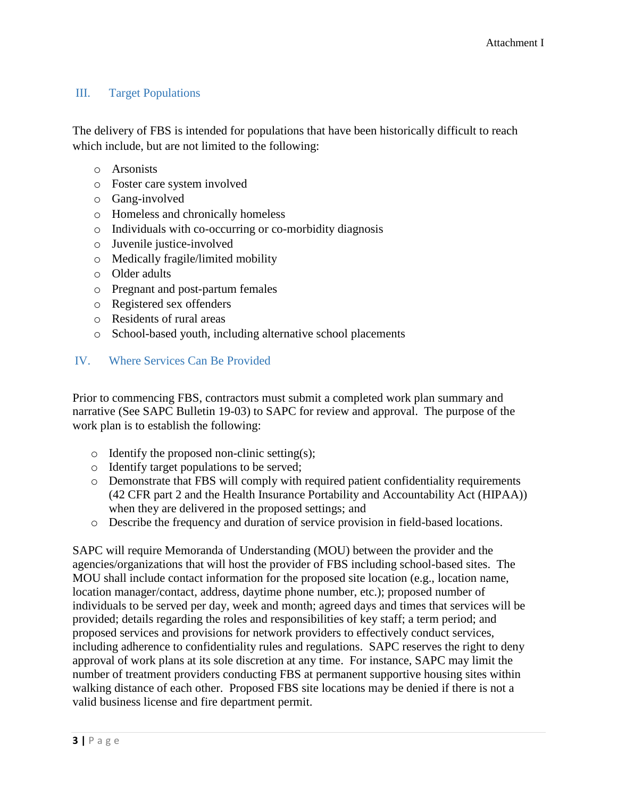# III. Target Populations

The delivery of FBS is intended for populations that have been historically difficult to reach which include, but are not limited to the following:

- o Arsonists
- o Foster care system involved
- o Gang-involved
- o Homeless and chronically homeless
- o Individuals with co-occurring or co-morbidity diagnosis
- o Juvenile justice-involved
- o Medically fragile/limited mobility
- o Older adults
- o Pregnant and post-partum females
- o Registered sex offenders
- o Residents of rural areas
- o School-based youth, including alternative school placements

#### <span id="page-3-0"></span>IV. Where Services Can Be Provided

Prior to commencing FBS, contractors must submit a completed work plan summary and narrative (See SAPC Bulletin 19-03) to SAPC for review and approval. The purpose of the work plan is to establish the following:

- $\circ$  Identify the proposed non-clinic setting(s);
- o Identify target populations to be served;
- o Demonstrate that FBS will comply with required patient confidentiality requirements (42 CFR part 2 and the Health Insurance Portability and Accountability Act (HIPAA)) when they are delivered in the proposed settings; and
- o Describe the frequency and duration of service provision in field-based locations.

SAPC will require Memoranda of Understanding (MOU) between the provider and the agencies/organizations that will host the provider of FBS including school-based sites. The MOU shall include contact information for the proposed site location (e.g., location name, location manager/contact, address, daytime phone number, etc.); proposed number of individuals to be served per day, week and month; agreed days and times that services will be provided; details regarding the roles and responsibilities of key staff; a term period; and proposed services and provisions for network providers to effectively conduct services, including adherence to confidentiality rules and regulations. SAPC reserves the right to deny approval of work plans at its sole discretion at any time. For instance, SAPC may limit the number of treatment providers conducting FBS at permanent supportive housing sites within walking distance of each other. Proposed FBS site locations may be denied if there is not a valid business license and fire department permit.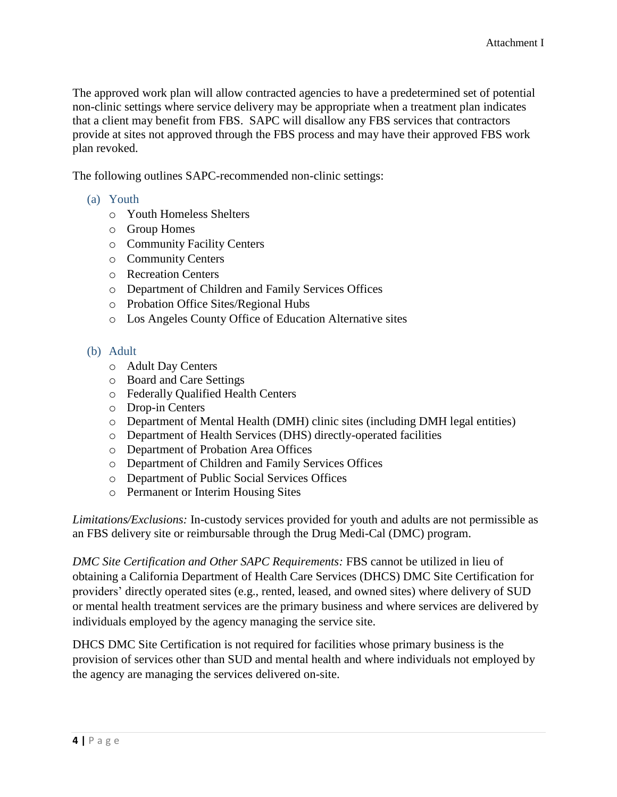<span id="page-4-2"></span>The approved work plan will allow contracted agencies to have a predetermined set of potential non-clinic settings where service delivery may be appropriate when a treatment plan indicates that a client may benefit from FBS. SAPC will disallow any FBS services that contractors provide at sites not approved through the FBS process and may have their approved FBS work plan revoked.

The following outlines SAPC-recommended non-clinic settings:

- <span id="page-4-0"></span>(a) Youth
	- o Youth Homeless Shelters
	- o Group Homes
	- o Community Facility Centers
	- o Community Centers
	- o Recreation Centers
	- o Department of Children and Family Services Offices
	- o Probation Office Sites/Regional Hubs
	- o Los Angeles County Office of Education Alternative sites
- <span id="page-4-1"></span>(b) Adult
	- o Adult Day Centers
	- o Board and Care Settings
	- o Federally Qualified Health Centers
	- o Drop-in Centers
	- o Department of Mental Health (DMH) clinic sites (including DMH legal entities)
	- o Department of Health Services (DHS) directly-operated facilities
	- o Department of Probation Area Offices
	- o Department of Children and Family Services Offices
	- o Department of Public Social Services Offices
	- o Permanent or Interim Housing Sites

*Limitations/Exclusions:* In-custody services provided for youth and adults are not permissible as an FBS delivery site or reimbursable through the Drug Medi-Cal (DMC) program.

*DMC Site Certification and Other SAPC Requirements:* FBS cannot be utilized in lieu of obtaining a California Department of Health Care Services (DHCS) DMC Site Certification for providers' directly operated sites (e.g., rented, leased, and owned sites) where delivery of SUD or mental health treatment services are the primary business and where services are delivered by individuals employed by the agency managing the service site.

DHCS DMC Site Certification is not required for facilities whose primary business is the provision of services other than SUD and mental health and where individuals not employed by the agency are managing the services delivered on-site.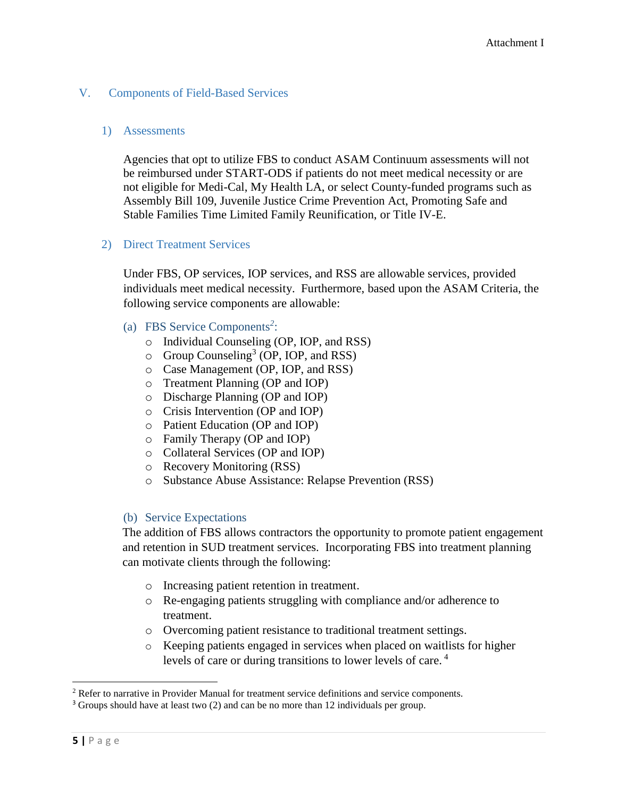# V. Components of Field-Based Services

#### 1) Assessments

Agencies that opt to utilize FBS to conduct ASAM Continuum assessments will not be reimbursed under START-ODS if patients do not meet medical necessity or are not eligible for Medi-Cal, My Health LA, or select County-funded programs such as Assembly Bill 109, Juvenile Justice Crime Prevention Act, Promoting Safe and Stable Families Time Limited Family Reunification, or Title IV-E.

#### 2) Direct Treatment Services

Under FBS, OP services, IOP services, and RSS are allowable services, provided individuals meet medical necessity. Furthermore, based upon the ASAM Criteria, the following service components are allowable:

- <span id="page-5-0"></span>(a) FBS Service Components*<sup>2</sup>* :
	- o Individual Counseling (OP, IOP, and RSS)
	- $\circ$  Group Counseling<sup>3</sup> (OP, IOP, and RSS)
	- o Case Management (OP, IOP, and RSS)
	- o Treatment Planning (OP and IOP)
	- o Discharge Planning (OP and IOP)
	- o Crisis Intervention (OP and IOP)
	- o Patient Education (OP and IOP)
	- o Family Therapy (OP and IOP)
	- o Collateral Services (OP and IOP)
	- o Recovery Monitoring (RSS)
	- o Substance Abuse Assistance: Relapse Prevention (RSS)

#### <span id="page-5-1"></span>(b) Service Expectations

The addition of FBS allows contractors the opportunity to promote patient engagement and retention in SUD treatment services. Incorporating FBS into treatment planning can motivate clients through the following:

- o Increasing patient retention in treatment.
- o Re-engaging patients struggling with compliance and/or adherence to treatment.
- o Overcoming patient resistance to traditional treatment settings.
- o Keeping patients engaged in services when placed on waitlists for higher levels of care or during transitions to lower levels of care. <sup>4</sup>

 $\overline{\phantom{a}}$ 

<sup>2</sup> Refer to narrative in Provider Manual for treatment service definitions and service components.

<sup>3</sup> Groups should have at least two (2) and can be no more than 12 individuals per group.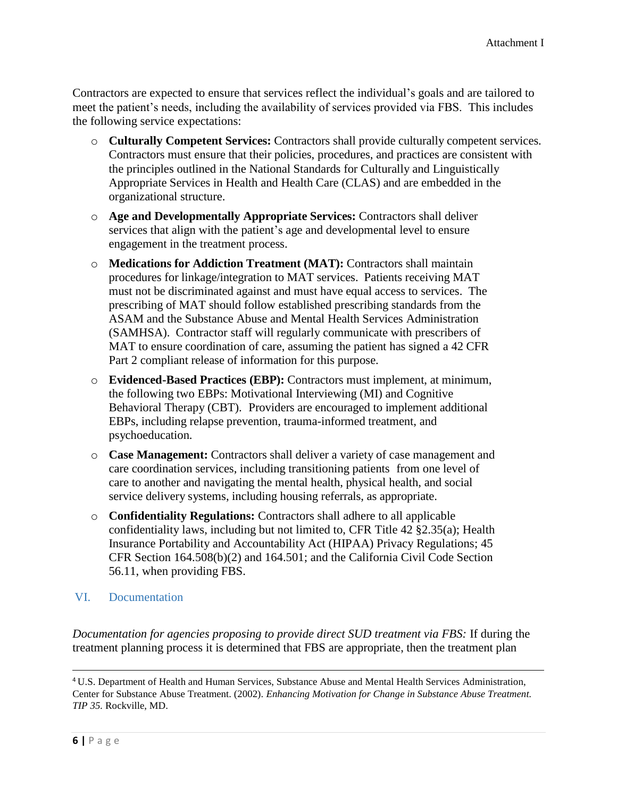Contractors are expected to ensure that services reflect the individual's goals and are tailored to meet the patient's needs, including the availability of services provided via FBS. This includes the following service expectations:

- o **Culturally Competent Services:** Contractors shall provide culturally competent services. Contractors must ensure that their policies, procedures, and practices are consistent with the principles outlined in the National Standards for Culturally and Linguistically Appropriate Services in Health and Health Care (CLAS) and are embedded in the organizational structure.
- o **Age and Developmentally Appropriate Services:** Contractors shall deliver services that align with the patient's age and developmental level to ensure engagement in the treatment process.
- o **Medications for Addiction Treatment (MAT):** Contractors shall maintain procedures for linkage/integration to MAT services. Patients receiving MAT must not be discriminated against and must have equal access to services. The prescribing of MAT should follow established prescribing standards from the ASAM and the Substance Abuse and Mental Health Services Administration (SAMHSA). Contractor staff will regularly communicate with prescribers of MAT to ensure coordination of care, assuming the patient has signed a 42 CFR Part 2 compliant release of information for this purpose.
- o **Evidenced-Based Practices (EBP):** Contractors must implement, at minimum, the following two EBPs: Motivational Interviewing (MI) and Cognitive Behavioral Therapy (CBT). Providers are encouraged to implement additional EBPs, including relapse prevention, trauma-informed treatment, and psychoeducation.
- o **Case Management:** Contractors shall deliver a variety of case management and care coordination services, including transitioning patients from one level of care to another and navigating the mental health, physical health, and social service delivery systems, including housing referrals, as appropriate.
- o **Confidentiality Regulations:** Contractors shall adhere to all applicable confidentiality laws, including but not limited to, CFR Title 42 §2.35(a); Health Insurance Portability and Accountability Act (HIPAA) Privacy Regulations; 45 CFR Section 164.508(b)(2) and 164.501; and the California Civil Code Section 56.11, when providing FBS.
- <span id="page-6-0"></span>VI. Documentation

*Documentation for agencies proposing to provide direct SUD treatment via FBS:* If during the treatment planning process it is determined that FBS are appropriate, then the treatment plan

 $\overline{a}$ 

<sup>4</sup> U.S. Department of Health and Human Services, Substance Abuse and Mental Health Services Administration, Center for Substance Abuse Treatment. (2002). *Enhancing Motivation for Change in Substance Abuse Treatment. TIP 35.* Rockville, MD.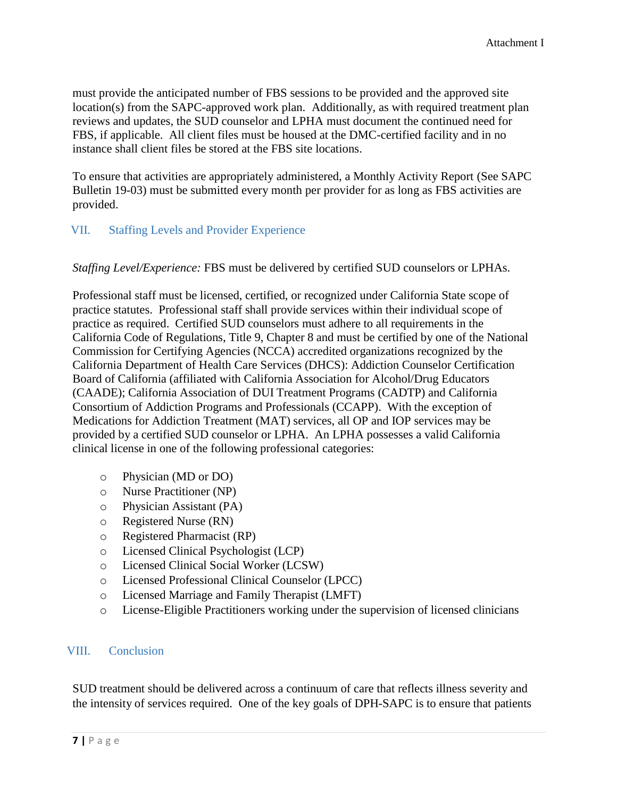must provide the anticipated number of FBS sessions to be provided and the approved site location(s) from the SAPC-approved work plan. Additionally, as with required treatment plan reviews and updates, the SUD counselor and LPHA must document the continued need for FBS, if applicable. All client files must be housed at the DMC-certified facility and in no instance shall client files be stored at the FBS site locations.

To ensure that activities are appropriately administered, a Monthly Activity Report (See SAPC Bulletin 19-03) must be submitted every month per provider for as long as FBS activities are provided.

#### <span id="page-7-0"></span>VII. Staffing Levels and Provider Experience

*Staffing Level/Experience:* FBS must be delivered by certified SUD counselors or LPHAs.

Professional staff must be licensed, certified, or recognized under California State scope of practice statutes. Professional staff shall provide services within their individual scope of practice as required. Certified SUD counselors must adhere to all requirements in the California Code of Regulations, Title 9, Chapter 8 and must be certified by one of the National Commission for Certifying Agencies (NCCA) accredited organizations recognized by the California Department of Health Care Services (DHCS): Addiction Counselor Certification Board of California (affiliated with California Association for Alcohol/Drug Educators (CAADE); California Association of DUI Treatment Programs (CADTP) and California Consortium of Addiction Programs and Professionals (CCAPP). With the exception of Medications for Addiction Treatment (MAT) services, all OP and IOP services may be provided by a certified SUD counselor or LPHA. An LPHA possesses a valid California clinical license in one of the following professional categories:

- o Physician (MD or DO)
- o Nurse Practitioner (NP)
- o Physician Assistant (PA)
- o Registered Nurse (RN)
- o Registered Pharmacist (RP)
- o Licensed Clinical Psychologist (LCP)
- o Licensed Clinical Social Worker (LCSW)
- o Licensed Professional Clinical Counselor (LPCC)
- o Licensed Marriage and Family Therapist (LMFT)
- o License-Eligible Practitioners working under the supervision of licensed clinicians

#### <span id="page-7-1"></span>VIII. Conclusion

SUD treatment should be delivered across a continuum of care that reflects illness severity and the intensity of services required. One of the key goals of DPH-SAPC is to ensure that patients